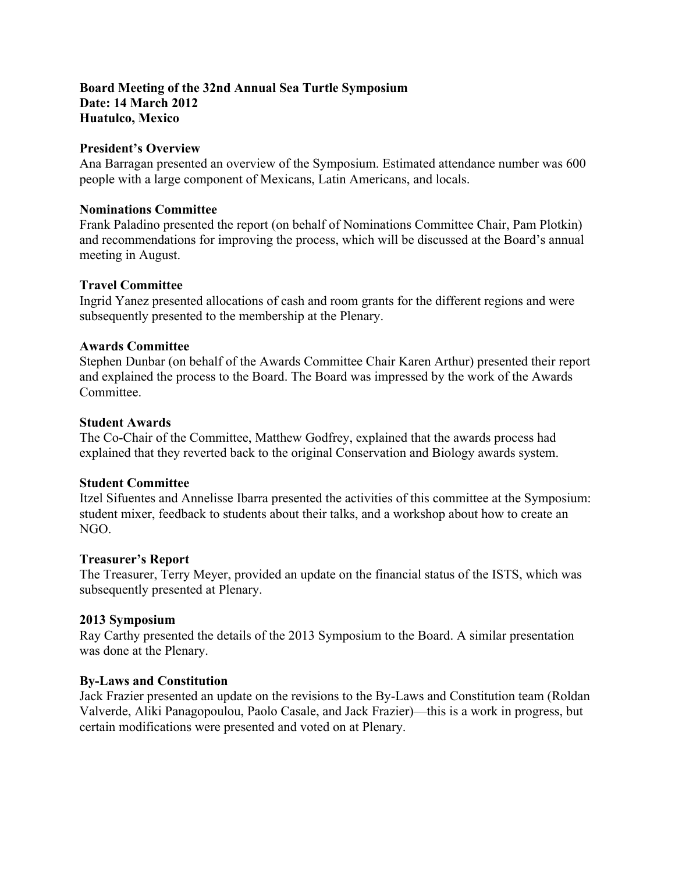# **Board Meeting of the 32nd Annual Sea Turtle Symposium Date: 14 March 2012 Huatulco, Mexico**

### **President's Overview**

Ana Barragan presented an overview of the Symposium. Estimated attendance number was 600 people with a large component of Mexicans, Latin Americans, and locals.

#### **Nominations Committee**

Frank Paladino presented the report (on behalf of Nominations Committee Chair, Pam Plotkin) and recommendations for improving the process, which will be discussed at the Board's annual meeting in August.

## **Travel Committee**

Ingrid Yanez presented allocations of cash and room grants for the different regions and were subsequently presented to the membership at the Plenary.

#### **Awards Committee**

Stephen Dunbar (on behalf of the Awards Committee Chair Karen Arthur) presented their report and explained the process to the Board. The Board was impressed by the work of the Awards **Committee** 

#### **Student Awards**

The Co-Chair of the Committee, Matthew Godfrey, explained that the awards process had explained that they reverted back to the original Conservation and Biology awards system.

## **Student Committee**

Itzel Sifuentes and Annelisse Ibarra presented the activities of this committee at the Symposium: student mixer, feedback to students about their talks, and a workshop about how to create an NGO.

## **Treasurer's Report**

The Treasurer, Terry Meyer, provided an update on the financial status of the ISTS, which was subsequently presented at Plenary.

## **2013 Symposium**

Ray Carthy presented the details of the 2013 Symposium to the Board. A similar presentation was done at the Plenary.

## **By-Laws and Constitution**

Jack Frazier presented an update on the revisions to the By-Laws and Constitution team (Roldan Valverde, Aliki Panagopoulou, Paolo Casale, and Jack Frazier)—this is a work in progress, but certain modifications were presented and voted on at Plenary.